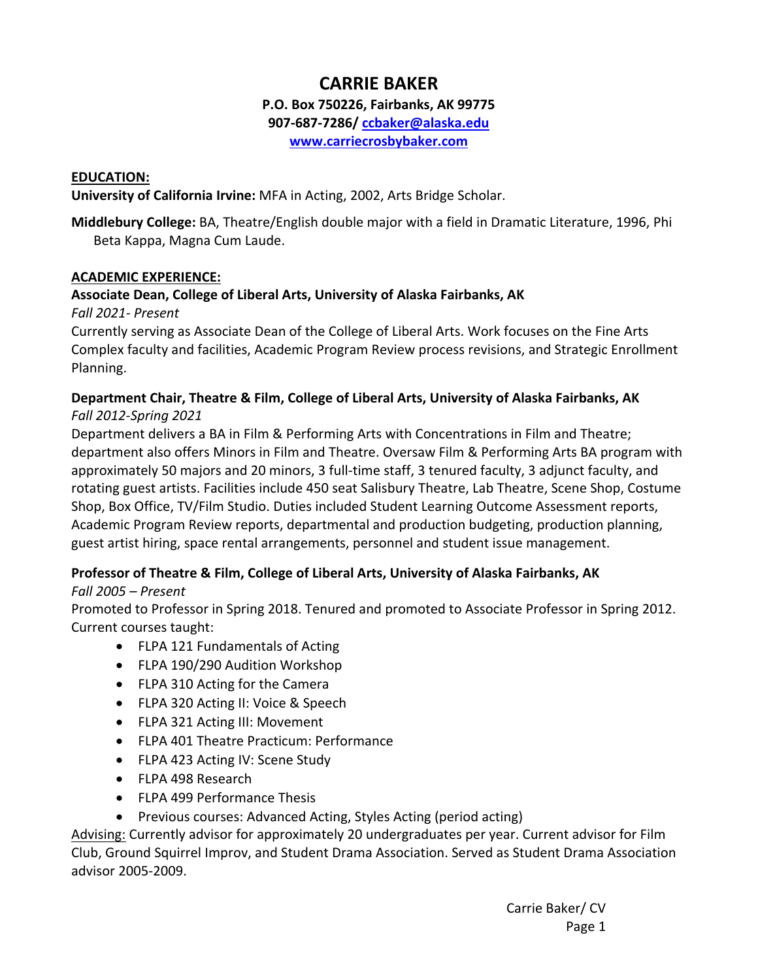# **CARRIE BAKER**

#### **P.O. Box 750226, Fairbanks, AK 99775**

**907‐687‐7286/ ccbaker@alaska.edu**

**www.carriecrosbybaker.com**

#### **EDUCATION:**

**University of California Irvine:** MFA in Acting, 2002, Arts Bridge Scholar.

**Middlebury College:** BA, Theatre/English double major with a field in Dramatic Literature, 1996, Phi Beta Kappa, Magna Cum Laude.

#### **ACADEMIC EXPERIENCE:**

## **Associate Dean, College of Liberal Arts, University of Alaska Fairbanks, AK**

*Fall 2021‐ Present* 

Currently serving as Associate Dean of the College of Liberal Arts. Work focuses on the Fine Arts Complex faculty and facilities, Academic Program Review process revisions, and Strategic Enrollment Planning.

## **Department Chair, Theatre & Film, College of Liberal Arts, University of Alaska Fairbanks, AK**  *Fall 2012‐Spring 2021*

Department delivers a BA in Film & Performing Arts with Concentrations in Film and Theatre; department also offers Minors in Film and Theatre. Oversaw Film & Performing Arts BA program with approximately 50 majors and 20 minors, 3 full-time staff, 3 tenured faculty, 3 adjunct faculty, and rotating guest artists. Facilities include 450 seat Salisbury Theatre, Lab Theatre, Scene Shop, Costume Shop, Box Office, TV/Film Studio. Duties included Student Learning Outcome Assessment reports, Academic Program Review reports, departmental and production budgeting, production planning, guest artist hiring, space rental arrangements, personnel and student issue management.

## **Professor of Theatre & Film, College of Liberal Arts, University of Alaska Fairbanks, AK**

#### *Fall 2005 – Present*

Promoted to Professor in Spring 2018. Tenured and promoted to Associate Professor in Spring 2012. Current courses taught:

- FLPA 121 Fundamentals of Acting
- FLPA 190/290 Audition Workshop
- FLPA 310 Acting for the Camera
- FLPA 320 Acting II: Voice & Speech
- FLPA 321 Acting III: Movement
- FLPA 401 Theatre Practicum: Performance
- FLPA 423 Acting IV: Scene Study
- FLPA 498 Research
- FLPA 499 Performance Thesis
- Previous courses: Advanced Acting, Styles Acting (period acting)

Advising: Currently advisor for approximately 20 undergraduates per year. Current advisor for Film Club, Ground Squirrel Improv, and Student Drama Association. Served as Student Drama Association advisor 2005‐2009.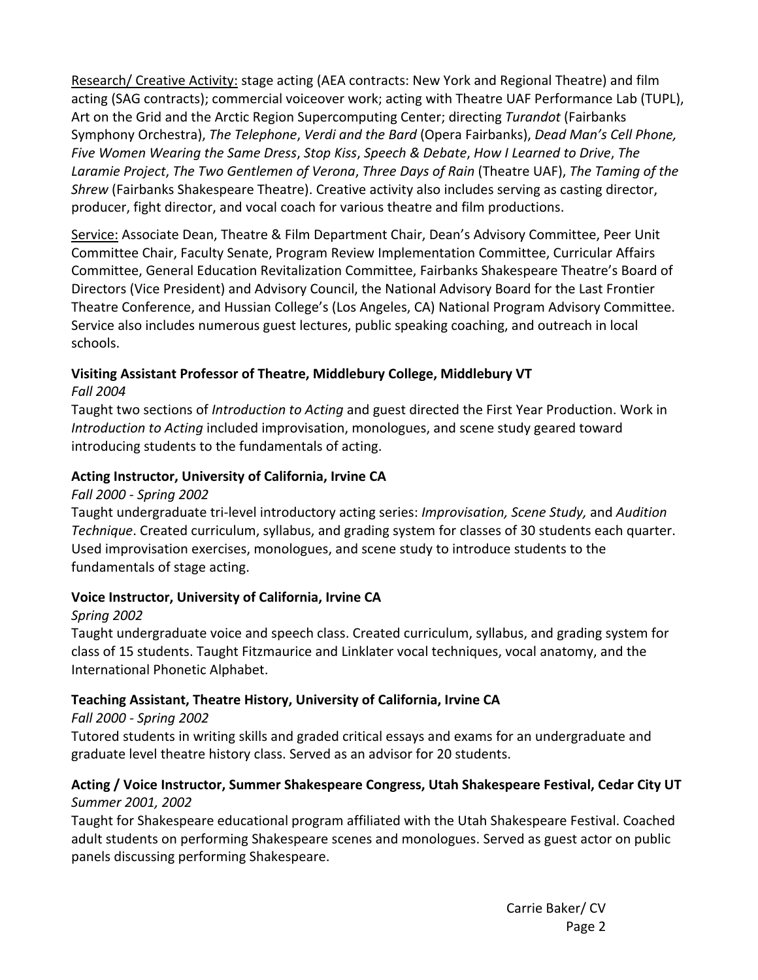Research/ Creative Activity: stage acting (AEA contracts: New York and Regional Theatre) and film acting (SAG contracts); commercial voiceover work; acting with Theatre UAF Performance Lab (TUPL), Art on the Grid and the Arctic Region Supercomputing Center; directing *Turandot* (Fairbanks Symphony Orchestra), *The Telephone*, *Verdi and the Bard* (Opera Fairbanks), *Dead Man's Cell Phone, Five Women Wearing the Same Dress*, *Stop Kiss*, *Speech & Debate*, *How I Learned to Drive*, *The Laramie Project*, *The Two Gentlemen of Verona*, *Three Days of Rain* (Theatre UAF), *The Taming of the Shrew* (Fairbanks Shakespeare Theatre). Creative activity also includes serving as casting director, producer, fight director, and vocal coach for various theatre and film productions.

Service: Associate Dean, Theatre & Film Department Chair, Dean's Advisory Committee, Peer Unit Committee Chair, Faculty Senate, Program Review Implementation Committee, Curricular Affairs Committee, General Education Revitalization Committee, Fairbanks Shakespeare Theatre's Board of Directors (Vice President) and Advisory Council, the National Advisory Board for the Last Frontier Theatre Conference, and Hussian College's (Los Angeles, CA) National Program Advisory Committee. Service also includes numerous guest lectures, public speaking coaching, and outreach in local schools.

# **Visiting Assistant Professor of Theatre, Middlebury College, Middlebury VT**

## *Fall 2004*

Taught two sections of *Introduction to Acting* and guest directed the First Year Production. Work in *Introduction to Acting* included improvisation, monologues, and scene study geared toward introducing students to the fundamentals of acting.

## **Acting Instructor, University of California, Irvine CA**

## *Fall 2000 ‐ Spring 2002*

Taught undergraduate tri‐level introductory acting series: *Improvisation, Scene Study,* and *Audition Technique*. Created curriculum, syllabus, and grading system for classes of 30 students each quarter. Used improvisation exercises, monologues, and scene study to introduce students to the fundamentals of stage acting.

# **Voice Instructor, University of California, Irvine CA**

# *Spring 2002*

Taught undergraduate voice and speech class. Created curriculum, syllabus, and grading system for class of 15 students. Taught Fitzmaurice and Linklater vocal techniques, vocal anatomy, and the International Phonetic Alphabet.

# **Teaching Assistant, Theatre History, University of California, Irvine CA**

## *Fall 2000 ‐ Spring 2002*

Tutored students in writing skills and graded critical essays and exams for an undergraduate and graduate level theatre history class. Served as an advisor for 20 students.

## **Acting / Voice Instructor, Summer Shakespeare Congress, Utah Shakespeare Festival, Cedar City UT** *Summer 2001, 2002*

Taught for Shakespeare educational program affiliated with the Utah Shakespeare Festival. Coached adult students on performing Shakespeare scenes and monologues. Served as guest actor on public panels discussing performing Shakespeare.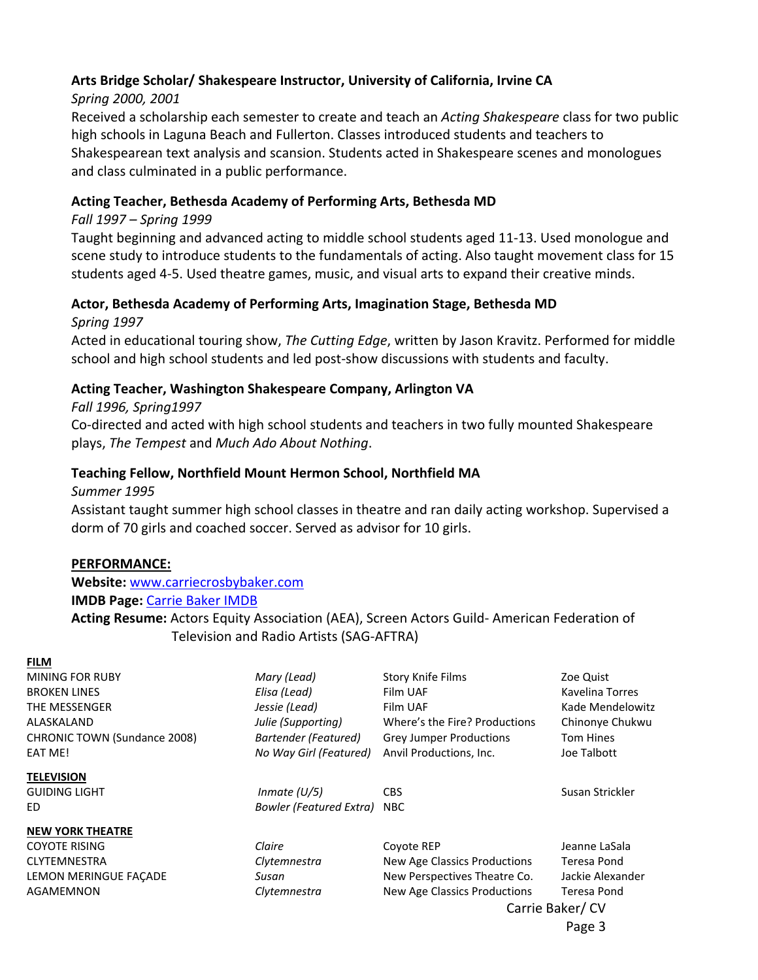## **Arts Bridge Scholar/ Shakespeare Instructor, University of California, Irvine CA**

## *Spring 2000, 2001*

Received a scholarship each semester to create and teach an *Acting Shakespeare* class for two public high schools in Laguna Beach and Fullerton. Classes introduced students and teachers to Shakespearean text analysis and scansion. Students acted in Shakespeare scenes and monologues and class culminated in a public performance.

## **Acting Teacher, Bethesda Academy of Performing Arts, Bethesda MD**

#### *Fall 1997 – Spring 1999*

Taught beginning and advanced acting to middle school students aged 11‐13. Used monologue and scene study to introduce students to the fundamentals of acting. Also taught movement class for 15 students aged 4‐5. Used theatre games, music, and visual arts to expand their creative minds.

# **Actor, Bethesda Academy of Performing Arts, Imagination Stage, Bethesda MD**

*Spring 1997* 

Acted in educational touring show, *The Cutting Edge*, written by Jason Kravitz. Performed for middle school and high school students and led post‐show discussions with students and faculty.

## **Acting Teacher, Washington Shakespeare Company, Arlington VA**

*Fall 1996, Spring1997* 

Co‐directed and acted with high school students and teachers in two fully mounted Shakespeare plays, *The Tempest* and *Much Ado About Nothing*.

## **Teaching Fellow, Northfield Mount Hermon School, Northfield MA**

*Summer 1995* 

Assistant taught summer high school classes in theatre and ran daily acting workshop. Supervised a dorm of 70 girls and coached soccer. Served as advisor for 10 girls.

#### **PERFORMANCE:**

**Website:** www.carriecrosbybaker.com

## **IMDB Page:** Carrie Baker IMDB

**Acting Resume:** Actors Equity Association (AEA), Screen Actors Guild‐ American Federation of Television and Radio Artists (SAG‐AFTRA)

#### **FILM**

MINING FOR RUBY *Mary (Lead)*  Story Knife Films Zoe Quist BROKEN LINES *Elisa (Lead)*  Film UAF Kavelina Torres THE MESSENGER *Jessie (Lead)*  Film UAF Kade Mendelowitz ALASKALAND *Julie (Supporting)*  Where's the Fire? Productions Chinonye Chukwu CHRONIC TOWN (Sundance 2008) *Bartender (Featured)*  Grey Jumper Productions Tom Hines EAT ME! *No Way Girl (Featured)* Anvil Productions, Inc. **Joe Talbott TELEVISION**  GUIDING LIGHT *Inmate (U/5)* CBS CBS Susan Strickler ED *Bowler (Featured Extra)*  NBC **NEW YORK THEATRE**  COYOTE RISING *Claire*  Coyote REP Jeanne LaSala CLYTEMNESTRA *Clytemnestra*  New Age Classics Productions Teresa Pond LEMON MERINGUE FAÇADE *Susan*  New Perspectives Theatre Co. Jackie Alexander AGAMEMNON *Clytemnestra*  New Age Classics Productions Teresa Pond

Carrie Baker/ CV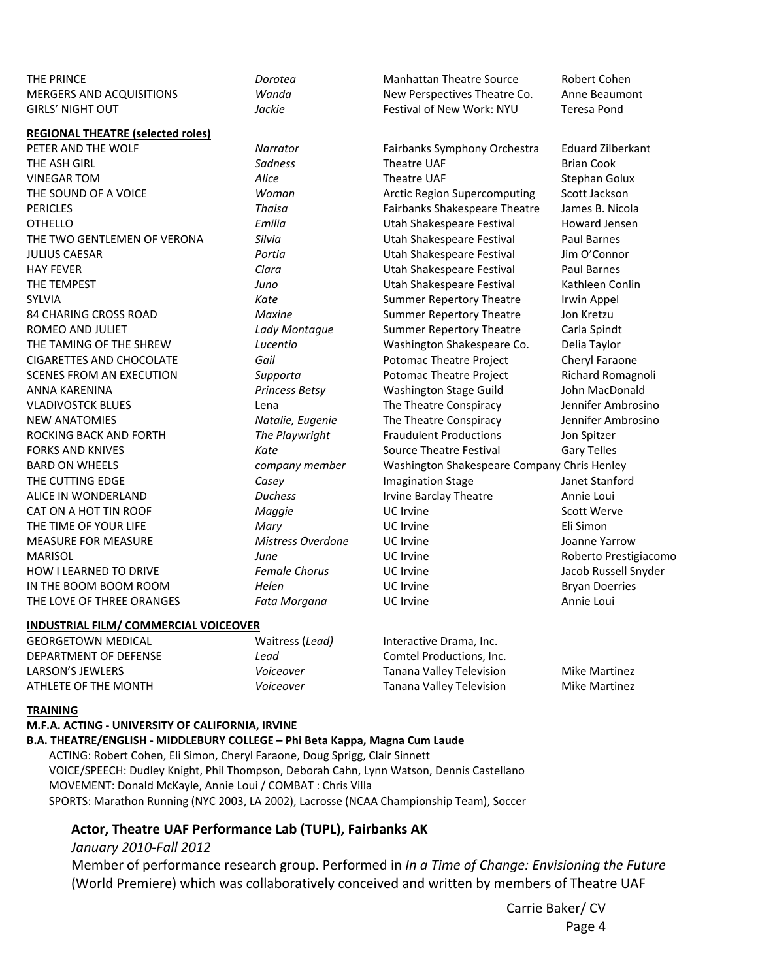| THE PRINCE                                   | Dorotea              | <b>Manhattan Theatre Source</b>             | Robert Cohen             |
|----------------------------------------------|----------------------|---------------------------------------------|--------------------------|
| <b>MERGERS AND ACQUISITIONS</b>              | Wanda                | New Perspectives Theatre Co.                | Anne Beaumont            |
| <b>GIRLS' NIGHT OUT</b>                      | Jackie               | <b>Festival of New Work: NYU</b>            | <b>Teresa Pond</b>       |
| <b>REGIONAL THEATRE (selected roles)</b>     |                      |                                             |                          |
| PETER AND THE WOLF                           | Narrator             | Fairbanks Symphony Orchestra                | <b>Eduard Zilberkant</b> |
| THE ASH GIRL                                 | Sadness              | Theatre UAF                                 | <b>Brian Cook</b>        |
| <b>VINEGAR TOM</b>                           | Alice                | Theatre UAF                                 | Stephan Golux            |
| THE SOUND OF A VOICE                         | Woman                | <b>Arctic Region Supercomputing</b>         | Scott Jackson            |
| <b>PERICLES</b>                              | Thaisa               | Fairbanks Shakespeare Theatre               | James B. Nicola          |
| <b>OTHELLO</b>                               | Emilia               | Utah Shakespeare Festival                   | Howard Jensen            |
| THE TWO GENTLEMEN OF VERONA                  | Silvia               | Utah Shakespeare Festival                   | <b>Paul Barnes</b>       |
| <b>JULIUS CAESAR</b>                         | Portia               | Utah Shakespeare Festival                   | Jim O'Connor             |
| <b>HAY FEVER</b>                             | Clara                | Utah Shakespeare Festival                   | <b>Paul Barnes</b>       |
| THE TEMPEST                                  | Juno                 | Utah Shakespeare Festival                   | Kathleen Conlin          |
| <b>SYLVIA</b>                                | Kate                 | <b>Summer Repertory Theatre</b>             | Irwin Appel              |
| 84 CHARING CROSS ROAD                        | <b>Maxine</b>        | <b>Summer Repertory Theatre</b>             | Jon Kretzu               |
| ROMEO AND JULIET                             | Lady Montague        | <b>Summer Repertory Theatre</b>             | Carla Spindt             |
| THE TAMING OF THE SHREW                      | Lucentio             | Washington Shakespeare Co.                  | Delia Taylor             |
| <b>CIGARETTES AND CHOCOLATE</b>              | Gail                 | Potomac Theatre Project                     | Cheryl Faraone           |
| <b>SCENES FROM AN EXECUTION</b>              | Supporta             | Potomac Theatre Project                     | Richard Romagnoli        |
| ANNA KARENINA                                | Princess Betsy       | Washington Stage Guild                      | John MacDonald           |
| <b>VLADIVOSTCK BLUES</b>                     | Lena                 | The Theatre Conspiracy                      | Jennifer Ambrosino       |
| <b>NEW ANATOMIES</b>                         | Natalie, Eugenie     | The Theatre Conspiracy                      | Jennifer Ambrosino       |
| ROCKING BACK AND FORTH                       | The Playwright       | <b>Fraudulent Productions</b>               | Jon Spitzer              |
| <b>FORKS AND KNIVES</b>                      | Kate                 | <b>Source Theatre Festival</b>              | <b>Gary Telles</b>       |
| <b>BARD ON WHEELS</b>                        | company member       | Washington Shakespeare Company Chris Henley |                          |
| THE CUTTING EDGE                             | Casey                | <b>Imagination Stage</b>                    | Janet Stanford           |
| ALICE IN WONDERLAND                          | <b>Duchess</b>       | <b>Irvine Barclay Theatre</b>               | Annie Loui               |
| CAT ON A HOT TIN ROOF                        | Maggie               | UC Irvine                                   | <b>Scott Werve</b>       |
| THE TIME OF YOUR LIFE                        | Mary                 | UC Irvine                                   | Eli Simon                |
| MEASURE FOR MEASURE                          | Mistress Overdone    | UC Irvine                                   | Joanne Yarrow            |
| <b>MARISOL</b>                               | June                 | <b>UC</b> Irvine                            | Roberto Prestigiacomo    |
| HOW I LEARNED TO DRIVE                       | <b>Female Chorus</b> | UC Irvine                                   | Jacob Russell Snyder     |
| IN THE BOOM BOOM ROOM                        | Helen                | UC Irvine                                   | <b>Bryan Doerries</b>    |
| THE LOVE OF THREE ORANGES                    | Fata Morgana         | UC Irvine                                   | Annie Loui               |
| <b>INDUSTRIAL FILM/ COMMERCIAL VOICEOVER</b> |                      |                                             |                          |
| GEORGETOWN MEDICAL                           | Waitress (Lead)      | Interactive Drama, Inc.                     |                          |

## DEPARTMENT OF DEFENSE *Lead*  Comtel Productions, Inc. LARSON'S JEWLERS *Voiceover*  Tanana Valley Television Mike Martinez ATHLETE OF THE MONTH *Voiceover*  Tanana Valley Television Mike Martinez

#### **TRAINING**

#### **M.F.A. ACTING ‐ UNIVERSITY OF CALIFORNIA, IRVINE B.A. THEATRE/ENGLISH ‐ MIDDLEBURY COLLEGE – Phi Beta Kappa, Magna Cum Laude**  ACTING: Robert Cohen, Eli Simon, Cheryl Faraone, Doug Sprigg, Clair Sinnett VOICE/SPEECH: Dudley Knight, Phil Thompson, Deborah Cahn, Lynn Watson, Dennis Castellano MOVEMENT: Donald McKayle, Annie Loui / COMBAT : Chris Villa SPORTS: Marathon Running (NYC 2003, LA 2002), Lacrosse (NCAA Championship Team), Soccer

#### **Actor, Theatre UAF Performance Lab (TUPL), Fairbanks AK**

#### *January 2010‐Fall 2012*

Member of performance research group. Performed in *In a Time of Change: Envisioning the Future* (World Premiere) which was collaboratively conceived and written by members of Theatre UAF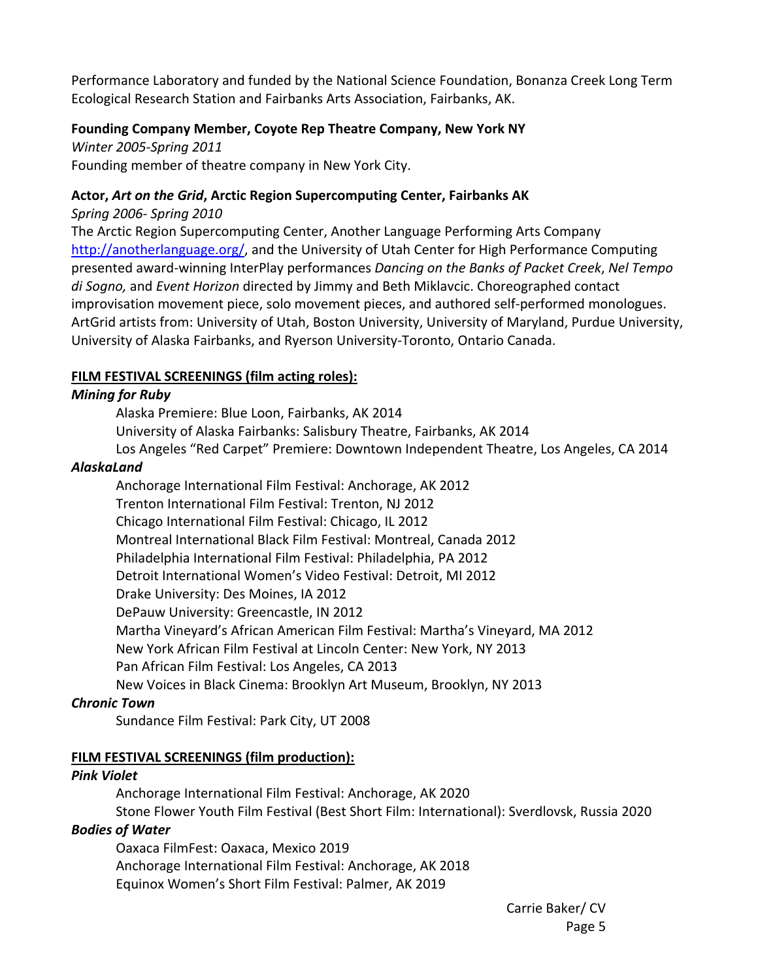Performance Laboratory and funded by the National Science Foundation, Bonanza Creek Long Term Ecological Research Station and Fairbanks Arts Association, Fairbanks, AK.

#### **Founding Company Member, Coyote Rep Theatre Company, New York NY**

*Winter 2005‐Spring 2011*  Founding member of theatre company in New York City.

#### **Actor,** *Art on the Grid***, Arctic Region Supercomputing Center, Fairbanks AK**

*Spring 2006‐ Spring 2010* 

The Arctic Region Supercomputing Center, Another Language Performing Arts Company http://anotherlanguage.org/, and the University of Utah Center for High Performance Computing presented award‐winning InterPlay performances *Dancing on the Banks of Packet Creek*, *Nel Tempo di Sogno,* and *Event Horizon* directed by Jimmy and Beth Miklavcic. Choreographed contact improvisation movement piece, solo movement pieces, and authored self‐performed monologues. ArtGrid artists from: University of Utah, Boston University, University of Maryland, Purdue University, University of Alaska Fairbanks, and Ryerson University‐Toronto, Ontario Canada.

## **FILM FESTIVAL SCREENINGS (film acting roles):**

## *Mining for Ruby*

Alaska Premiere: Blue Loon, Fairbanks, AK 2014 University of Alaska Fairbanks: Salisbury Theatre, Fairbanks, AK 2014 Los Angeles "Red Carpet" Premiere: Downtown Independent Theatre, Los Angeles, CA 2014

## *AlaskaLand*

Anchorage International Film Festival: Anchorage, AK 2012 Trenton International Film Festival: Trenton, NJ 2012 Chicago International Film Festival: Chicago, IL 2012 Montreal International Black Film Festival: Montreal, Canada 2012 Philadelphia International Film Festival: Philadelphia, PA 2012 Detroit International Women's Video Festival: Detroit, MI 2012 Drake University: Des Moines, IA 2012 DePauw University: Greencastle, IN 2012 Martha Vineyard's African American Film Festival: Martha's Vineyard, MA 2012 New York African Film Festival at Lincoln Center: New York, NY 2013 Pan African Film Festival: Los Angeles, CA 2013 New Voices in Black Cinema: Brooklyn Art Museum, Brooklyn, NY 2013

## *Chronic Town*

Sundance Film Festival: Park City, UT 2008

## **FILM FESTIVAL SCREENINGS (film production):**

## *Pink Violet*

Anchorage International Film Festival: Anchorage, AK 2020 Stone Flower Youth Film Festival (Best Short Film: International): Sverdlovsk, Russia 2020

#### *Bodies of Water*

Oaxaca FilmFest: Oaxaca, Mexico 2019 Anchorage International Film Festival: Anchorage, AK 2018 Equinox Women's Short Film Festival: Palmer, AK 2019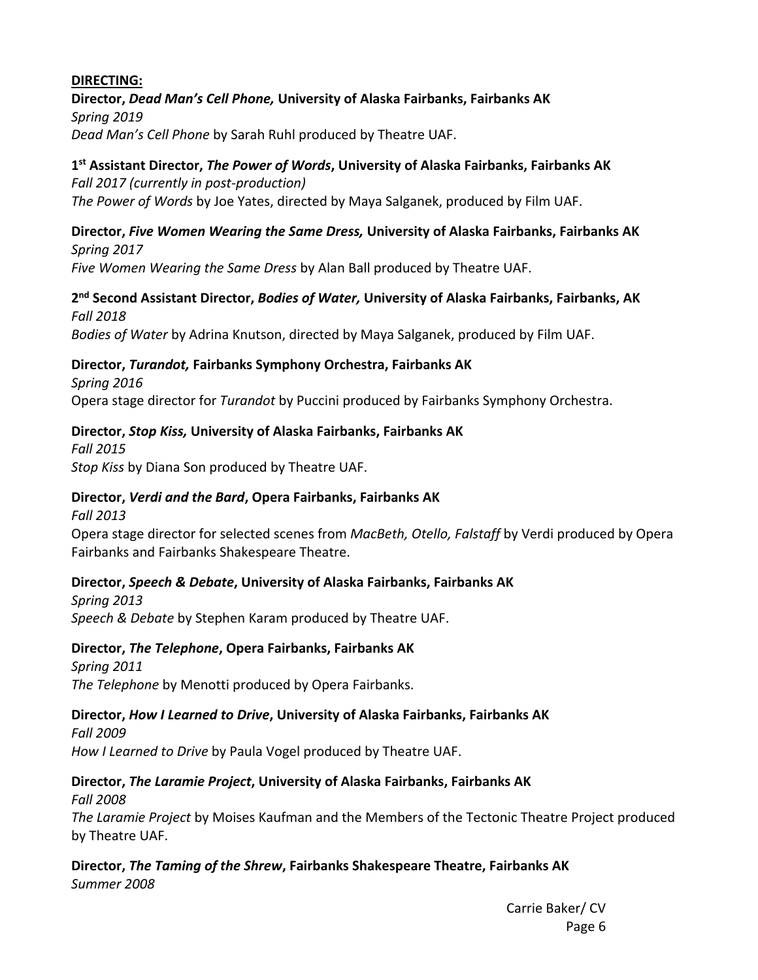#### **DIRECTING:**

#### **Director,** *Dead Man's Cell Phone,* **University of Alaska Fairbanks, Fairbanks AK**  *Spring 2019*

*Dead Man's Cell Phone* by Sarah Ruhl produced by Theatre UAF.

## **1st Assistant Director,** *The Power of Words***, University of Alaska Fairbanks, Fairbanks AK**

*Fall 2017 (currently in post‐production) The Power of Words* by Joe Yates, directed by Maya Salganek, produced by Film UAF.

#### **Director,** *Five Women Wearing the Same Dress,* **University of Alaska Fairbanks, Fairbanks AK**  *Spring 2017*

*Five Women Wearing the Same Dress* by Alan Ball produced by Theatre UAF.

#### **2nd Second Assistant Director,** *Bodies of Water,* **University of Alaska Fairbanks, Fairbanks, AK**  *Fall 2018*

*Bodies of Water* by Adrina Knutson, directed by Maya Salganek, produced by Film UAF.

## **Director,** *Turandot,* **Fairbanks Symphony Orchestra, Fairbanks AK**

*Spring 2016*  Opera stage director for *Turandot* by Puccini produced by Fairbanks Symphony Orchestra.

## **Director,** *Stop Kiss,* **University of Alaska Fairbanks, Fairbanks AK**

*Fall 2015 Stop Kiss* by Diana Son produced by Theatre UAF.

## **Director,** *Verdi and the Bard***, Opera Fairbanks, Fairbanks AK**

*Fall 2013*  Opera stage director for selected scenes from *MacBeth, Otello, Falstaff* by Verdi produced by Opera Fairbanks and Fairbanks Shakespeare Theatre.

## **Director,** *Speech & Debate***, University of Alaska Fairbanks, Fairbanks AK**

*Spring 2013 Speech & Debate* by Stephen Karam produced by Theatre UAF.

# **Director,** *The Telephone***, Opera Fairbanks, Fairbanks AK**

*Spring 2011 The Telephone* by Menotti produced by Opera Fairbanks.

# **Director,** *How I Learned to Drive***, University of Alaska Fairbanks, Fairbanks AK**

*Fall 2009 How I Learned to Drive* by Paula Vogel produced by Theatre UAF.

## **Director,** *The Laramie Project***, University of Alaska Fairbanks, Fairbanks AK**

*Fall 2008 The Laramie Project* by Moises Kaufman and the Members of the Tectonic Theatre Project produced by Theatre UAF.

#### **Director,** *The Taming of the Shrew***, Fairbanks Shakespeare Theatre, Fairbanks AK**  *Summer 2008*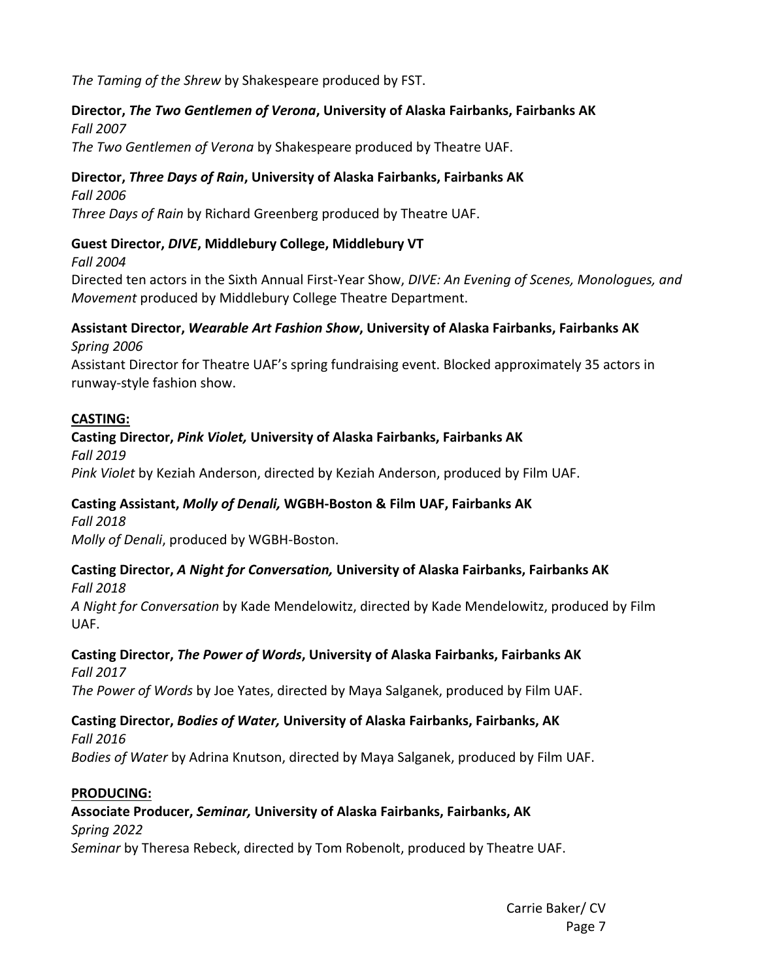*The Taming of the Shrew* by Shakespeare produced by FST.

#### **Director,** *The Two Gentlemen of Verona***, University of Alaska Fairbanks, Fairbanks AK**  *Fall 2007*

*The Two Gentlemen of Verona* by Shakespeare produced by Theatre UAF.

## **Director,** *Three Days of Rain***, University of Alaska Fairbanks, Fairbanks AK**

*Fall 2006* 

*Three Days of Rain* by Richard Greenberg produced by Theatre UAF.

#### **Guest Director,** *DIVE***, Middlebury College, Middlebury VT**

 *Fall 2004* 

 Directed ten actors in the Sixth Annual First‐Year Show, *DIVE: An Evening of Scenes, Monologues, and Movement* produced by Middlebury College Theatre Department.

#### **Assistant Director,** *Wearable Art Fashion Show***, University of Alaska Fairbanks, Fairbanks AK** *Spring 2006*

Assistant Director for Theatre UAF's spring fundraising event. Blocked approximately 35 actors in runway‐style fashion show.

## **CASTING:**

#### **Casting Director,** *Pink Violet,* **University of Alaska Fairbanks, Fairbanks AK**

*Fall 2019 Pink Violet* by Keziah Anderson, directed by Keziah Anderson, produced by Film UAF.

#### **Casting Assistant,** *Molly of Denali,* **WGBH‐Boston & Film UAF, Fairbanks AK**

*Fall 2018* 

*Molly of Denali*, produced by WGBH‐Boston.

# **Casting Director,** *A Night for Conversation,* **University of Alaska Fairbanks, Fairbanks AK**

*Fall 2018* 

*A Night for Conversation* by Kade Mendelowitz, directed by Kade Mendelowitz, produced by Film UAF.

## **Casting Director,** *The Power of Words***, University of Alaska Fairbanks, Fairbanks AK**

*Fall 2017 The Power of Words* by Joe Yates, directed by Maya Salganek, produced by Film UAF.

# **Casting Director,** *Bodies of Water,* **University of Alaska Fairbanks, Fairbanks, AK**

*Fall 2016 Bodies of Water* by Adrina Knutson, directed by Maya Salganek, produced by Film UAF.

#### **PRODUCING:**

# **Associate Producer,** *Seminar,* **University of Alaska Fairbanks, Fairbanks, AK**

*Spring 2022* 

*Seminar* by Theresa Rebeck, directed by Tom Robenolt, produced by Theatre UAF.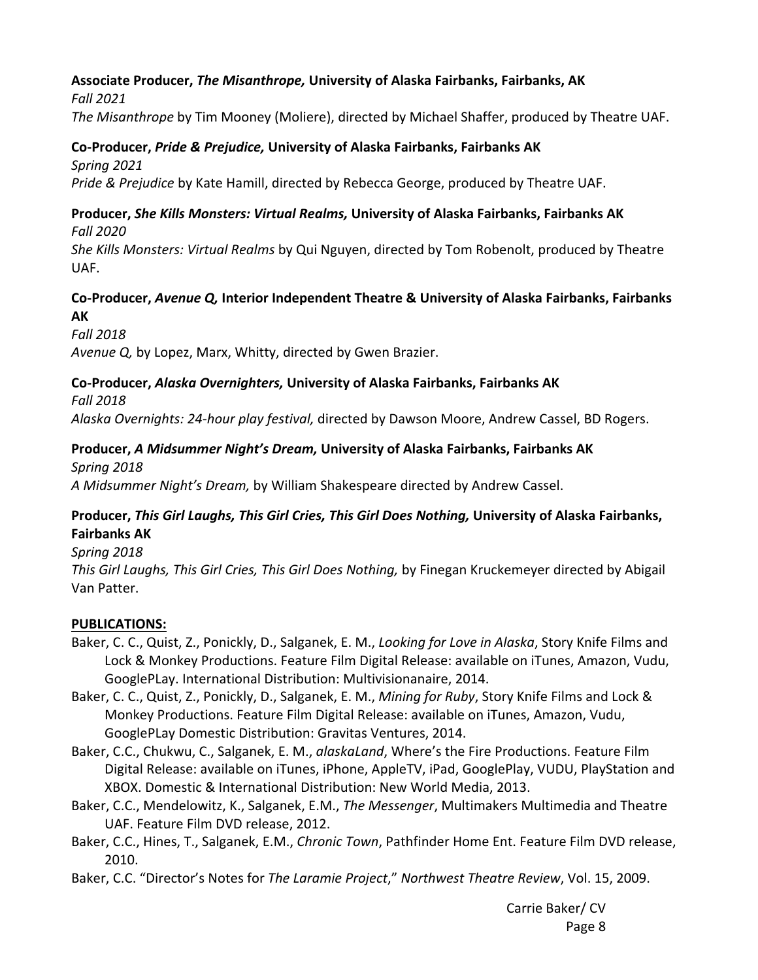## **Associate Producer,** *The Misanthrope,* **University of Alaska Fairbanks, Fairbanks, AK**

*Fall 2021* 

*The Misanthrope* by Tim Mooney (Moliere), directed by Michael Shaffer, produced by Theatre UAF.

## **Co‐Producer,** *Pride & Prejudice,* **University of Alaska Fairbanks, Fairbanks AK**

*Spring 2021* 

*Pride & Prejudice* by Kate Hamill, directed by Rebecca George, produced by Theatre UAF.

# **Producer,** *She Kills Monsters: Virtual Realms,* **University of Alaska Fairbanks, Fairbanks AK**

*Fall 2020* 

*She Kills Monsters: Virtual Realms* by Qui Nguyen, directed by Tom Robenolt, produced by Theatre UAF.

## **Co‐Producer,** *Avenue Q,* **Interior Independent Theatre & University of Alaska Fairbanks, Fairbanks AK**

*Fall 2018*

*Avenue Q,* by Lopez, Marx, Whitty, directed by Gwen Brazier.

# **Co‐Producer,** *Alaska Overnighters,* **University of Alaska Fairbanks, Fairbanks AK**

*Fall 2018*

*Alaska Overnights: 24‐hour play festival,* directed by Dawson Moore, Andrew Cassel, BD Rogers.

# **Producer,** *A Midsummer Night's Dream,* **University of Alaska Fairbanks, Fairbanks AK**

*Spring 2018* 

*A Midsummer Night's Dream,* by William Shakespeare directed by Andrew Cassel.

## **Producer,** *This Girl Laughs, This Girl Cries, This Girl Does Nothing,* **University of Alaska Fairbanks, Fairbanks AK**

*Spring 2018* 

*This Girl Laughs, This Girl Cries, This Girl Does Nothing,* by Finegan Kruckemeyer directed by Abigail Van Patter.

## **PUBLICATIONS:**

- Baker, C. C., Quist, Z., Ponickly, D., Salganek, E. M., *Looking for Love in Alaska*, Story Knife Films and Lock & Monkey Productions. Feature Film Digital Release: available on iTunes, Amazon, Vudu, GooglePLay. International Distribution: Multivisionanaire, 2014.
- Baker, C. C., Quist, Z., Ponickly, D., Salganek, E. M., *Mining for Ruby*, Story Knife Films and Lock & Monkey Productions. Feature Film Digital Release: available on iTunes, Amazon, Vudu, GooglePLay Domestic Distribution: Gravitas Ventures, 2014.
- Baker, C.C., Chukwu, C., Salganek, E. M., *alaskaLand*, Where's the Fire Productions. Feature Film Digital Release: available on iTunes, iPhone, AppleTV, iPad, GooglePlay, VUDU, PlayStation and XBOX. Domestic & International Distribution: New World Media, 2013.
- Baker, C.C., Mendelowitz, K., Salganek, E.M., *The Messenger*, Multimakers Multimedia and Theatre UAF. Feature Film DVD release, 2012.
- Baker, C.C., Hines, T., Salganek, E.M., *Chronic Town*, Pathfinder Home Ent. Feature Film DVD release, 2010.
- Baker, C.C. "Director's Notes for *The Laramie Project*," *Northwest Theatre Review*, Vol. 15, 2009.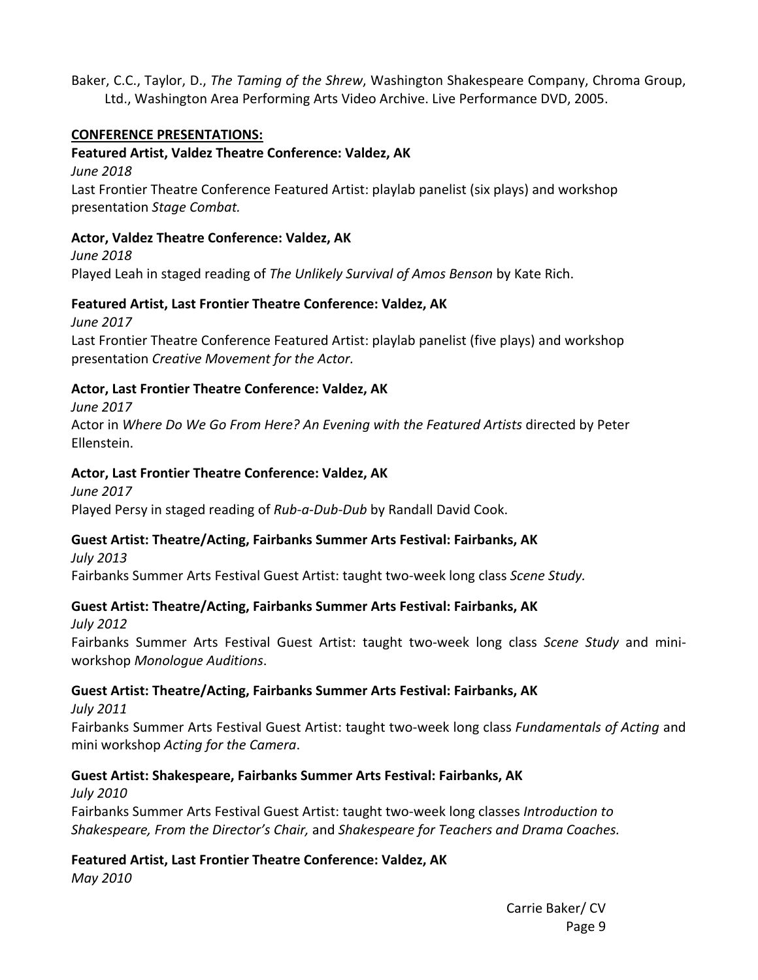Baker, C.C., Taylor, D., *The Taming of the Shrew*, Washington Shakespeare Company, Chroma Group, Ltd., Washington Area Performing Arts Video Archive. Live Performance DVD, 2005.

#### **CONFERENCE PRESENTATIONS:**

## **Featured Artist, Valdez Theatre Conference: Valdez, AK**

*June 2018* 

 Last Frontier Theatre Conference Featured Artist: playlab panelist (six plays) and workshop presentation *Stage Combat.* 

#### **Actor, Valdez Theatre Conference: Valdez, AK**

*June 2018*  Played Leah in staged reading of *The Unlikely Survival of Amos Benson* by Kate Rich.

## **Featured Artist, Last Frontier Theatre Conference: Valdez, AK**

*June 2017* 

 Last Frontier Theatre Conference Featured Artist: playlab panelist (five plays) and workshop presentation *Creative Movement for the Actor.* 

## **Actor, Last Frontier Theatre Conference: Valdez, AK**

*June 2017* 

 Actor in *Where Do We Go From Here? An Evening with the Featured Artists* directed by Peter Ellenstein.

## **Actor, Last Frontier Theatre Conference: Valdez, AK**

*June 2017*  Played Persy in staged reading of *Rub‐a‐Dub‐Dub* by Randall David Cook.

## **Guest Artist: Theatre/Acting, Fairbanks Summer Arts Festival: Fairbanks, AK**

*July 2013*  Fairbanks Summer Arts Festival Guest Artist: taught two‐week long class *Scene Study.*

## **Guest Artist: Theatre/Acting, Fairbanks Summer Arts Festival: Fairbanks, AK**

*July 2012* 

Fairbanks Summer Arts Festival Guest Artist: taught two‐week long class *Scene Study* and mini‐ workshop *Monologue Auditions*.

## **Guest Artist: Theatre/Acting, Fairbanks Summer Arts Festival: Fairbanks, AK**

*July 2011* 

Fairbanks Summer Arts Festival Guest Artist: taught two‐week long class *Fundamentals of Acting* and mini workshop *Acting for the Camera*.

## **Guest Artist: Shakespeare, Fairbanks Summer Arts Festival: Fairbanks, AK**

*July 2010* 

 Fairbanks Summer Arts Festival Guest Artist: taught two‐week long classes *Introduction to Shakespeare, From the Director's Chair,* and *Shakespeare for Teachers and Drama Coaches.* 

# **Featured Artist, Last Frontier Theatre Conference: Valdez, AK**

*May 2010*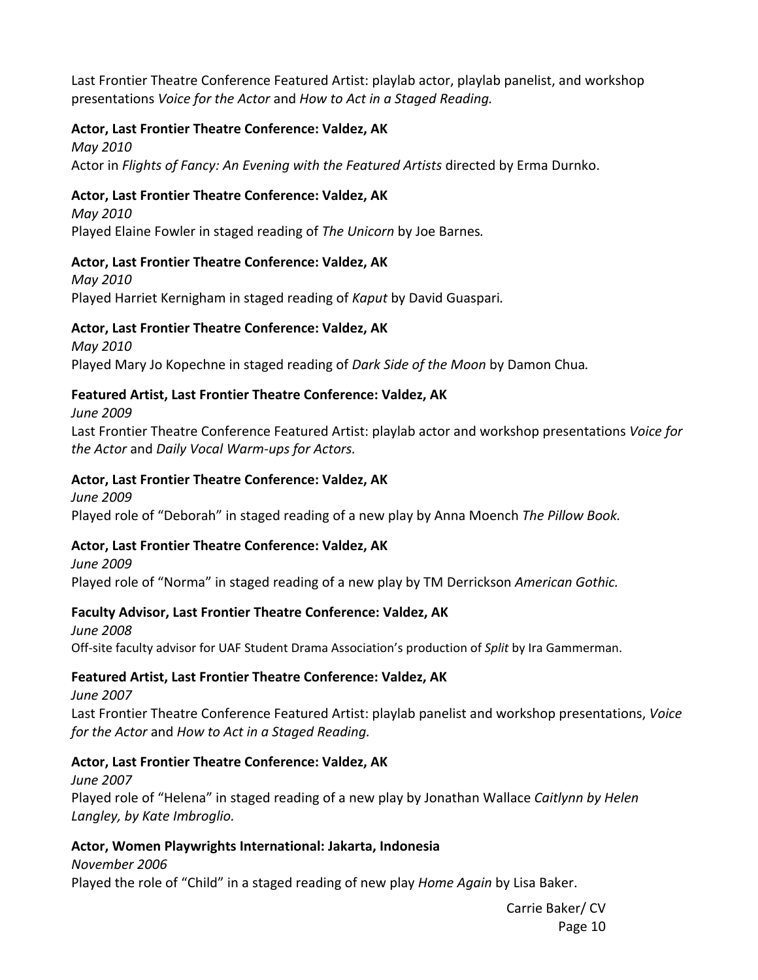Last Frontier Theatre Conference Featured Artist: playlab actor, playlab panelist, and workshop presentations *Voice for the Actor* and *How to Act in a Staged Reading.* 

#### **Actor, Last Frontier Theatre Conference: Valdez, AK**

*May 2010* 

Actor in *Flights of Fancy: An Evening with the Featured Artists* directed by Erma Durnko.

#### **Actor, Last Frontier Theatre Conference: Valdez, AK**

*May 2010*  Played Elaine Fowler in staged reading of *The Unicorn* by Joe Barnes*.* 

#### **Actor, Last Frontier Theatre Conference: Valdez, AK**

*May 2010*  Played Harriet Kernigham in staged reading of *Kaput* by David Guaspari*.* 

#### **Actor, Last Frontier Theatre Conference: Valdez, AK**

*May 2010*  Played Mary Jo Kopechne in staged reading of *Dark Side of the Moon* by Damon Chua*.* 

#### **Featured Artist, Last Frontier Theatre Conference: Valdez, AK**

*June 2009* 

 Last Frontier Theatre Conference Featured Artist: playlab actor and workshop presentations *Voice for the Actor* and *Daily Vocal Warm‐ups for Actors.* 

#### **Actor, Last Frontier Theatre Conference: Valdez, AK**

*June 2009*  Played role of "Deborah" in staged reading of a new play by Anna Moench *The Pillow Book.* 

## **Actor, Last Frontier Theatre Conference: Valdez, AK**

*June 2009*  Played role of "Norma" in staged reading of a new play by TM Derrickson *American Gothic.* 

## **Faculty Advisor, Last Frontier Theatre Conference: Valdez, AK**

*June 2008*  Off‐site faculty advisor for UAF Student Drama Association's production of *Split* by Ira Gammerman.

#### **Featured Artist, Last Frontier Theatre Conference: Valdez, AK**

*June 2007*  Last Frontier Theatre Conference Featured Artist: playlab panelist and workshop presentations, *Voice for the Actor* and *How to Act in a Staged Reading.* 

#### **Actor, Last Frontier Theatre Conference: Valdez, AK**

*June 2007*  Played role of "Helena" in staged reading of a new play by Jonathan Wallace *Caitlynn by Helen Langley, by Kate Imbroglio.* 

## **Actor, Women Playwrights International: Jakarta, Indonesia**

*November 2006*  Played the role of "Child" in a staged reading of new play *Home Again* by Lisa Baker.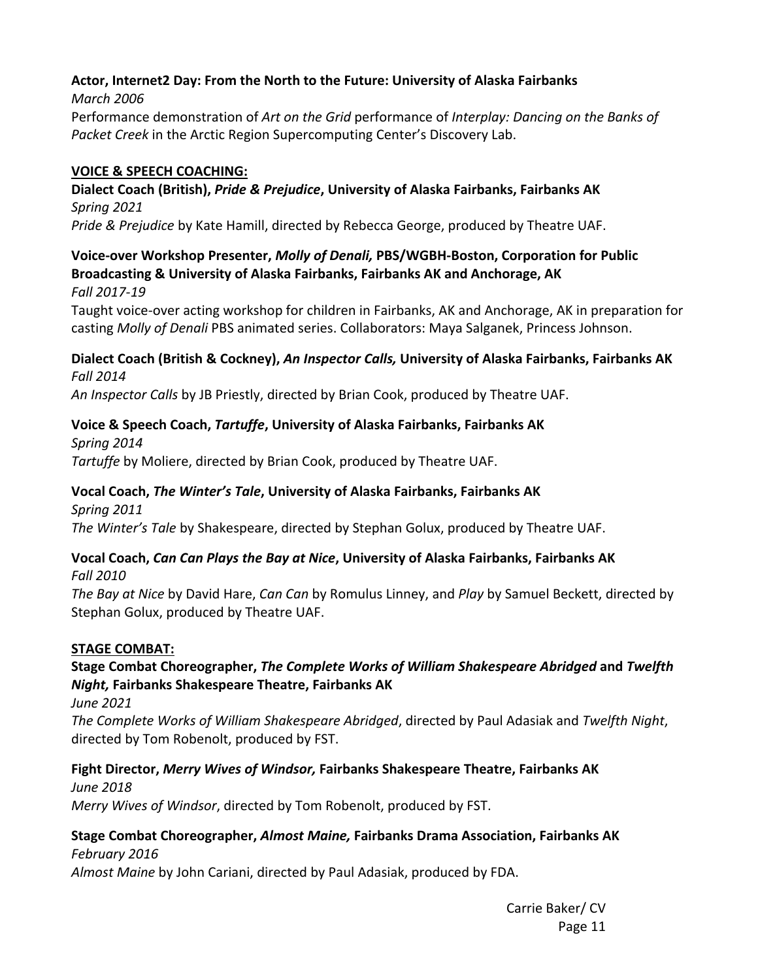#### **Actor, Internet2 Day: From the North to the Future: University of Alaska Fairbanks** *March 2006*

Performance demonstration of *Art on the Grid* performance of *Interplay: Dancing on the Banks of Packet Creek* in the Arctic Region Supercomputing Center's Discovery Lab.

## **VOICE & SPEECH COACHING:**

## **Dialect Coach (British),** *Pride & Prejudice***, University of Alaska Fairbanks, Fairbanks AK**  *Spring 2021*

*Pride & Prejudice* by Kate Hamill, directed by Rebecca George, produced by Theatre UAF.

# **Voice‐over Workshop Presenter,** *Molly of Denali,* **PBS/WGBH‐Boston, Corporation for Public Broadcasting & University of Alaska Fairbanks, Fairbanks AK and Anchorage, AK**

*Fall 2017‐19* 

Taught voice‐over acting workshop for children in Fairbanks, AK and Anchorage, AK in preparation for casting *Molly of Denali* PBS animated series. Collaborators: Maya Salganek, Princess Johnson.

## **Dialect Coach (British & Cockney),** *An Inspector Calls,* **University of Alaska Fairbanks, Fairbanks AK**  *Fall 2014*

*An Inspector Calls* by JB Priestly, directed by Brian Cook, produced by Theatre UAF.

# **Voice & Speech Coach,** *Tartuffe***, University of Alaska Fairbanks, Fairbanks AK**

*Spring 2014 Tartuffe* by Moliere, directed by Brian Cook, produced by Theatre UAF.

# **Vocal Coach,** *The Winter's Tale***, University of Alaska Fairbanks, Fairbanks AK**

*Spring 2011 The Winter's Tale* by Shakespeare, directed by Stephan Golux, produced by Theatre UAF.

#### **Vocal Coach,** *Can Can Plays the Bay at Nice***, University of Alaska Fairbanks, Fairbanks AK**  *Fall 2010*

*The Bay at Nice* by David Hare, *Can Can* by Romulus Linney, and *Play* by Samuel Beckett, directed by Stephan Golux, produced by Theatre UAF.

# **STAGE COMBAT:**

## **Stage Combat Choreographer,** *The Complete Works of William Shakespeare Abridged* **and** *Twelfth Night,* **Fairbanks Shakespeare Theatre, Fairbanks AK**

*June 2021* 

*The Complete Works of William Shakespeare Abridged*, directed by Paul Adasiak and *Twelfth Night*, directed by Tom Robenolt, produced by FST.

#### **Fight Director,** *Merry Wives of Windsor,* **Fairbanks Shakespeare Theatre, Fairbanks AK**  *June 2018*

*Merry Wives of Windsor*, directed by Tom Robenolt, produced by FST.

## **Stage Combat Choreographer,** *Almost Maine,* **Fairbanks Drama Association, Fairbanks AK**  *February 2016*

*Almost Maine* by John Cariani, directed by Paul Adasiak, produced by FDA.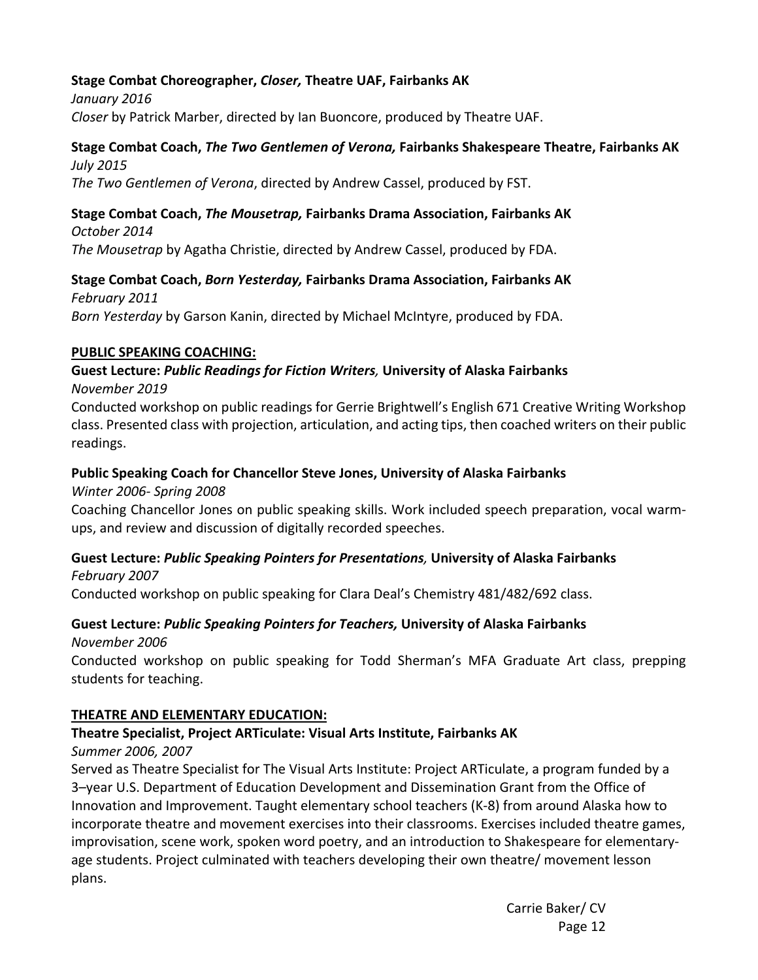## **Stage Combat Choreographer,** *Closer,* **Theatre UAF, Fairbanks AK**

*January 2016 Closer* by Patrick Marber, directed by Ian Buoncore, produced by Theatre UAF.

#### **Stage Combat Coach,** *The Two Gentlemen of Verona,* **Fairbanks Shakespeare Theatre, Fairbanks AK**  *July 2015*

*The Two Gentlemen of Verona*, directed by Andrew Cassel, produced by FST.

#### **Stage Combat Coach,** *The Mousetrap,* **Fairbanks Drama Association, Fairbanks AK**

*October 2014 The Mousetrap* by Agatha Christie, directed by Andrew Cassel, produced by FDA.

# **Stage Combat Coach,** *Born Yesterday,* **Fairbanks Drama Association, Fairbanks AK**

*February 2011 Born Yesterday* by Garson Kanin, directed by Michael McIntyre, produced by FDA.

#### **PUBLIC SPEAKING COACHING:**

# **Guest Lecture:** *Public Readings for Fiction Writers,* **University of Alaska Fairbanks**

#### *November 2019*

Conducted workshop on public readings for Gerrie Brightwell's English 671 Creative Writing Workshop class. Presented class with projection, articulation, and acting tips, then coached writers on their public readings.

#### **Public Speaking Coach for Chancellor Steve Jones, University of Alaska Fairbanks**

 *Winter 2006‐ Spring 2008* 

 Coaching Chancellor Jones on public speaking skills. Work included speech preparation, vocal warm‐ ups, and review and discussion of digitally recorded speeches.

#### **Guest Lecture:** *Public Speaking Pointers for Presentations,* **University of Alaska Fairbanks** *February 2007*

Conducted workshop on public speaking for Clara Deal's Chemistry 481/482/692 class.

## **Guest Lecture:** *Public Speaking Pointers for Teachers,* **University of Alaska Fairbanks**

*November 2006* 

Conducted workshop on public speaking for Todd Sherman's MFA Graduate Art class, prepping students for teaching.

#### **THEATRE AND ELEMENTARY EDUCATION:**

#### **Theatre Specialist, Project ARTiculate: Visual Arts Institute, Fairbanks AK**

*Summer 2006, 2007* 

Served as Theatre Specialist for The Visual Arts Institute: Project ARTiculate, a program funded by a 3–year U.S. Department of Education Development and Dissemination Grant from the Office of Innovation and Improvement. Taught elementary school teachers (K‐8) from around Alaska how to incorporate theatre and movement exercises into their classrooms. Exercises included theatre games, improvisation, scene work, spoken word poetry, and an introduction to Shakespeare for elementary‐ age students. Project culminated with teachers developing their own theatre/ movement lesson plans.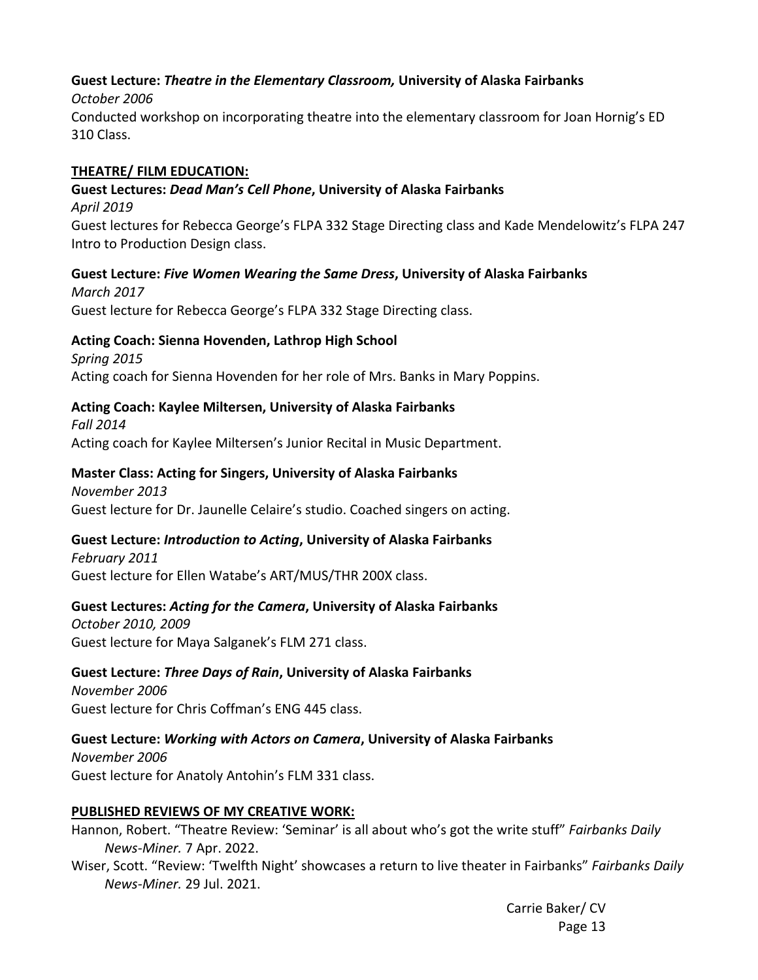## **Guest Lecture:** *Theatre in the Elementary Classroom,* **University of Alaska Fairbanks**

#### *October 2006*

Conducted workshop on incorporating theatre into the elementary classroom for Joan Hornig's ED 310 Class.

#### **THEATRE/ FILM EDUCATION:**

## **Guest Lectures:** *Dead Man's Cell Phone***, University of Alaska Fairbanks**

*April 2019* 

Guest lectures for Rebecca George's FLPA 332 Stage Directing class and Kade Mendelowitz's FLPA 247 Intro to Production Design class.

## **Guest Lecture:** *Five Women Wearing the Same Dress***, University of Alaska Fairbanks**

*March 2017*  Guest lecture for Rebecca George's FLPA 332 Stage Directing class.

## **Acting Coach: Sienna Hovenden, Lathrop High School**

*Spring 2015*  Acting coach for Sienna Hovenden for her role of Mrs. Banks in Mary Poppins.

## **Acting Coach: Kaylee Miltersen, University of Alaska Fairbanks**

*Fall 2014*  Acting coach for Kaylee Miltersen's Junior Recital in Music Department.

## **Master Class: Acting for Singers, University of Alaska Fairbanks**

*November 2013*  Guest lecture for Dr. Jaunelle Celaire's studio. Coached singers on acting.

## **Guest Lecture:** *Introduction to Acting***, University of Alaska Fairbanks**

*February 2011*  Guest lecture for Ellen Watabe's ART/MUS/THR 200X class.

## **Guest Lectures:** *Acting for the Camera***, University of Alaska Fairbanks**

*October 2010, 2009*  Guest lecture for Maya Salganek's FLM 271 class.

## **Guest Lecture:** *Three Days of Rain***, University of Alaska Fairbanks**

*November 2006*  Guest lecture for Chris Coffman's ENG 445 class.

## **Guest Lecture:** *Working with Actors on Camera***, University of Alaska Fairbanks**

*November 2006*  Guest lecture for Anatoly Antohin's FLM 331 class.

## **PUBLISHED REVIEWS OF MY CREATIVE WORK:**

Hannon, Robert. "Theatre Review: 'Seminar' is all about who's got the write stuff" *Fairbanks Daily News‐Miner.* 7 Apr. 2022.

Wiser, Scott. "Review: 'Twelfth Night' showcases a return to live theater in Fairbanks" *Fairbanks Daily News‐Miner.* 29 Jul. 2021.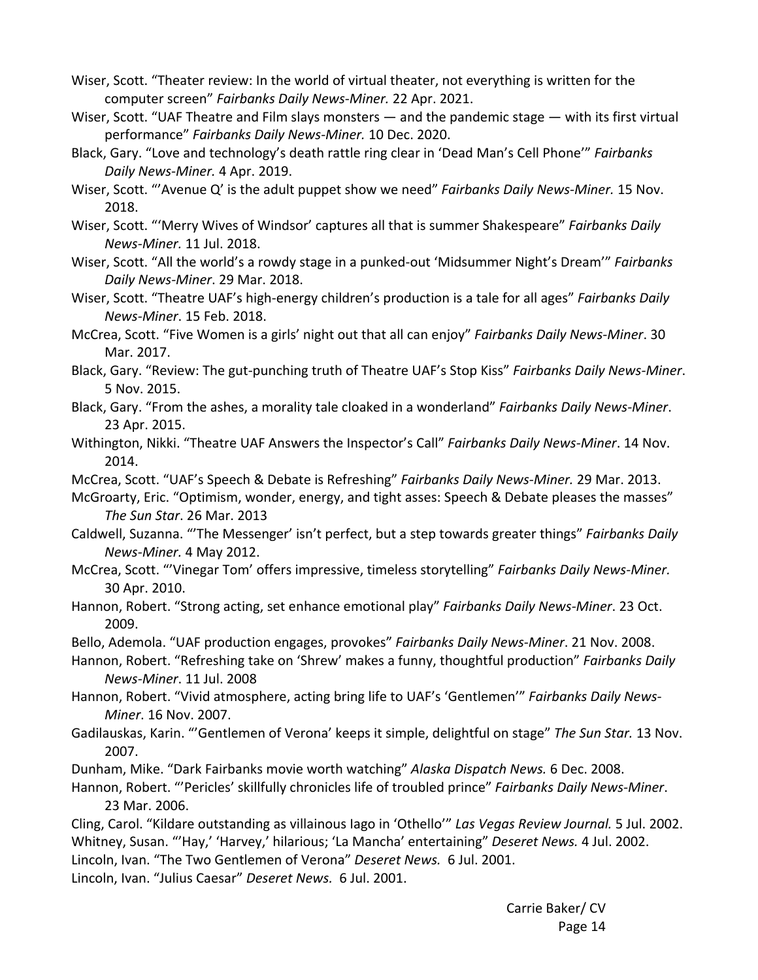Wiser, Scott. "Theater review: In the world of virtual theater, not everything is written for the computer screen" *Fairbanks Daily News‐Miner.* 22 Apr. 2021.

Wiser, Scott. "UAF Theatre and Film slays monsters — and the pandemic stage — with its first virtual performance" *Fairbanks Daily News‐Miner.* 10 Dec. 2020.

Black, Gary. "Love and technology's death rattle ring clear in 'Dead Man's Cell Phone'" *Fairbanks Daily News‐Miner.* 4 Apr. 2019.

Wiser, Scott. "'Avenue Q' is the adult puppet show we need" *Fairbanks Daily News‐Miner.* 15 Nov. 2018.

Wiser, Scott. "'Merry Wives of Windsor' captures all that is summer Shakespeare" *Fairbanks Daily News‐Miner.* 11 Jul. 2018.

Wiser, Scott. "All the world's a rowdy stage in a punked‐out 'Midsummer Night's Dream'" *Fairbanks Daily News‐Miner*. 29 Mar. 2018.

Wiser, Scott. "Theatre UAF's high‐energy children's production is a tale for all ages" *Fairbanks Daily News‐Miner*. 15 Feb. 2018.

McCrea, Scott. "Five Women is a girls' night out that all can enjoy" *Fairbanks Daily News‐Miner*. 30 Mar. 2017.

Black, Gary. "Review: The gut‐punching truth of Theatre UAF's Stop Kiss" *Fairbanks Daily News‐Miner*. 5 Nov. 2015.

Black, Gary. "From the ashes, a morality tale cloaked in a wonderland" *Fairbanks Daily News‐Miner*. 23 Apr. 2015.

Withington, Nikki. "Theatre UAF Answers the Inspector's Call" *Fairbanks Daily News‐Miner*. 14 Nov. 2014.

McCrea, Scott. "UAF's Speech & Debate is Refreshing" *Fairbanks Daily News‐Miner.* 29 Mar. 2013.

McGroarty, Eric. "Optimism, wonder, energy, and tight asses: Speech & Debate pleases the masses" *The Sun Star*. 26 Mar. 2013

Caldwell, Suzanna. "'The Messenger' isn't perfect, but a step towards greater things" *Fairbanks Daily News‐Miner.* 4 May 2012.

McCrea, Scott. "'Vinegar Tom' offers impressive, timeless storytelling" *Fairbanks Daily News‐Miner.* 30 Apr. 2010.

Hannon, Robert. "Strong acting, set enhance emotional play" *Fairbanks Daily News‐Miner*. 23 Oct. 2009.

Bello, Ademola. "UAF production engages, provokes" *Fairbanks Daily News‐Miner*. 21 Nov. 2008.

Hannon, Robert. "Refreshing take on 'Shrew' makes a funny, thoughtful production" *Fairbanks Daily News‐Miner*. 11 Jul. 2008

Hannon, Robert. "Vivid atmosphere, acting bring life to UAF's 'Gentlemen'" *Fairbanks Daily News‐ Miner*. 16 Nov. 2007.

Gadilauskas, Karin. "'Gentlemen of Verona' keeps it simple, delightful on stage" *The Sun Star.* 13 Nov. 2007.

Dunham, Mike. "Dark Fairbanks movie worth watching" *Alaska Dispatch News.* 6 Dec. 2008.

Hannon, Robert. "'Pericles' skillfully chronicles life of troubled prince" *Fairbanks Daily News‐Miner*. 23 Mar. 2006.

Cling, Carol. "Kildare outstanding as villainous Iago in 'Othello'" *Las Vegas Review Journal.* 5 Jul. 2002. Whitney, Susan. "'Hay,' 'Harvey,' hilarious; 'La Mancha' entertaining" *Deseret News.* 4 Jul. 2002. Lincoln, Ivan. "The Two Gentlemen of Verona" *Deseret News.*  6 Jul. 2001.

Lincoln, Ivan. "Julius Caesar" *Deseret News.*  6 Jul. 2001.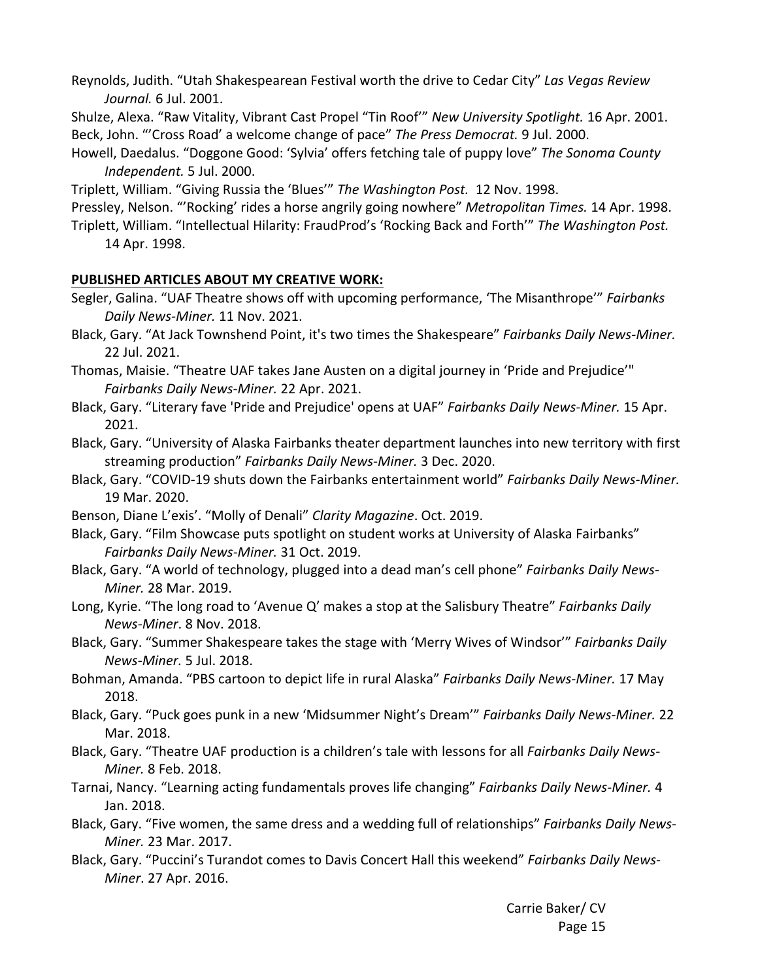Reynolds, Judith. "Utah Shakespearean Festival worth the drive to Cedar City" *Las Vegas Review Journal.* 6 Jul. 2001.

Shulze, Alexa. "Raw Vitality, Vibrant Cast Propel "Tin Roof'" *New University Spotlight.* 16 Apr. 2001. Beck, John. "'Cross Road' a welcome change of pace" *The Press Democrat.* 9 Jul. 2000.

Howell, Daedalus. "Doggone Good: 'Sylvia' offers fetching tale of puppy love" *The Sonoma County Independent.* 5 Jul. 2000.

Triplett, William. "Giving Russia the 'Blues'" *The Washington Post.*  12 Nov. 1998.

Pressley, Nelson. "'Rocking' rides a horse angrily going nowhere" *Metropolitan Times.* 14 Apr. 1998.

Triplett, William. "Intellectual Hilarity: FraudProd's 'Rocking Back and Forth'" *The Washington Post.* 14 Apr. 1998.

#### **PUBLISHED ARTICLES ABOUT MY CREATIVE WORK:**

- Segler, Galina. "UAF Theatre shows off with upcoming performance, 'The Misanthrope'" *Fairbanks Daily News‐Miner.* 11 Nov. 2021.
- Black, Gary. "At Jack Townshend Point, it's two times the Shakespeare" *Fairbanks Daily News‐Miner.* 22 Jul. 2021.
- Thomas, Maisie. "Theatre UAF takes Jane Austen on a digital journey in 'Pride and Prejudice'" *Fairbanks Daily News‐Miner.* 22 Apr. 2021.
- Black, Gary. "Literary fave 'Pride and Prejudice' opens at UAF" *Fairbanks Daily News‐Miner.* 15 Apr. 2021.

Black, Gary. "University of Alaska Fairbanks theater department launches into new territory with first streaming production" *Fairbanks Daily News‐Miner.* 3 Dec. 2020.

Black, Gary. "COVID‐19 shuts down the Fairbanks entertainment world" *Fairbanks Daily News‐Miner.*  19 Mar. 2020.

Benson, Diane L'exis'. "Molly of Denali" *Clarity Magazine*. Oct. 2019.

Black, Gary. "Film Showcase puts spotlight on student works at University of Alaska Fairbanks" *Fairbanks Daily News‐Miner.* 31 Oct. 2019.

- Black, Gary. "A world of technology, plugged into a dead man's cell phone" *Fairbanks Daily News‐ Miner.* 28 Mar. 2019.
- Long, Kyrie. "The long road to 'Avenue Q' makes a stop at the Salisbury Theatre" *Fairbanks Daily News‐Miner*. 8 Nov. 2018.
- Black, Gary. "Summer Shakespeare takes the stage with 'Merry Wives of Windsor'" *Fairbanks Daily News‐Miner.* 5 Jul. 2018.
- Bohman, Amanda. "PBS cartoon to depict life in rural Alaska" *Fairbanks Daily News‐Miner.* 17 May 2018.
- Black, Gary. "Puck goes punk in a new 'Midsummer Night's Dream'" *Fairbanks Daily News‐Miner.* 22 Mar. 2018.
- Black, Gary. "Theatre UAF production is a children's tale with lessons for all *Fairbanks Daily News‐ Miner.* 8 Feb. 2018.
- Tarnai, Nancy. "Learning acting fundamentals proves life changing" *Fairbanks Daily News‐Miner.* 4 Jan. 2018.
- Black, Gary. "Five women, the same dress and a wedding full of relationships" *Fairbanks Daily News‐ Miner.* 23 Mar. 2017.
- Black, Gary. "Puccini's Turandot comes to Davis Concert Hall this weekend" *Fairbanks Daily News‐ Miner*. 27 Apr. 2016.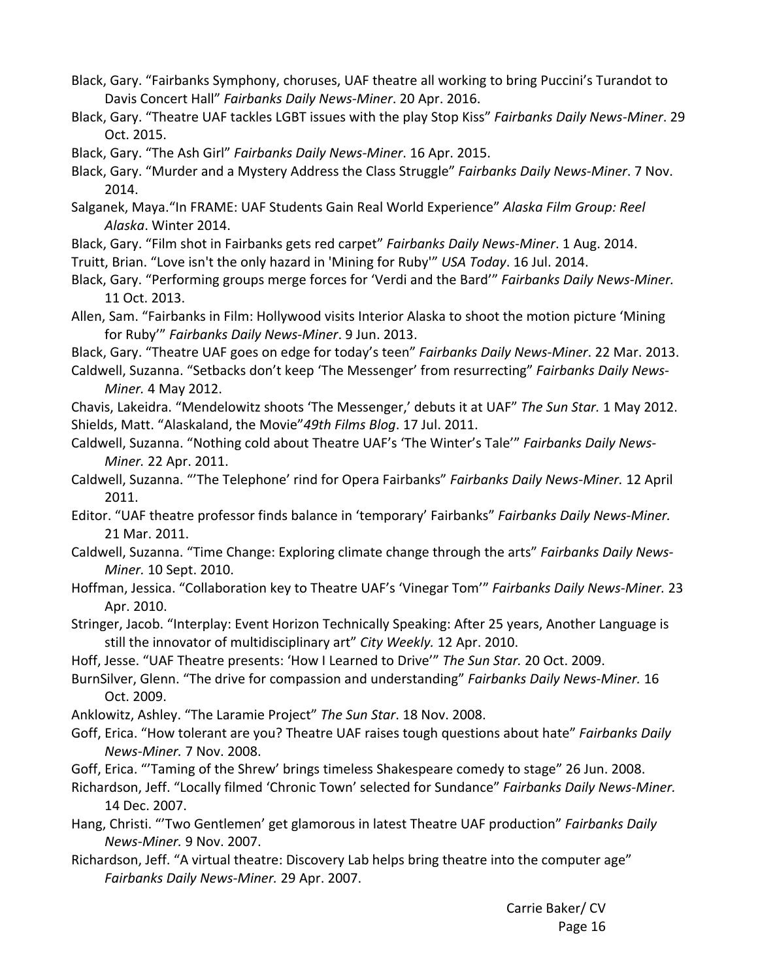- Black, Gary. "Fairbanks Symphony, choruses, UAF theatre all working to bring Puccini's Turandot to Davis Concert Hall" *Fairbanks Daily News‐Miner*. 20 Apr. 2016.
- Black, Gary. "Theatre UAF tackles LGBT issues with the play Stop Kiss" *Fairbanks Daily News‐Miner*. 29 Oct. 2015.
- Black, Gary. "The Ash Girl" *Fairbanks Daily News‐Miner*. 16 Apr. 2015.
- Black, Gary. "Murder and a Mystery Address the Class Struggle" *Fairbanks Daily News‐Miner*. 7 Nov. 2014.
- Salganek, Maya."In FRAME: UAF Students Gain Real World Experience" *Alaska Film Group: Reel Alaska*. Winter 2014.
- Black, Gary. "Film shot in Fairbanks gets red carpet" *Fairbanks Daily News‐Miner*. 1 Aug. 2014.
- Truitt, Brian. "Love isn't the only hazard in 'Mining for Ruby'" *USA Today*. 16 Jul. 2014.
- Black, Gary. "Performing groups merge forces for 'Verdi and the Bard'" *Fairbanks Daily News‐Miner.* 11 Oct. 2013.
- Allen, Sam. "Fairbanks in Film: Hollywood visits Interior Alaska to shoot the motion picture 'Mining for Ruby'" *Fairbanks Daily News‐Miner*. 9 Jun. 2013.

Black, Gary. "Theatre UAF goes on edge for today's teen" *Fairbanks Daily News‐Miner*. 22 Mar. 2013.

- Caldwell, Suzanna. "Setbacks don't keep 'The Messenger' from resurrecting" *Fairbanks Daily News‐ Miner.* 4 May 2012.
- Chavis, Lakeidra. "Mendelowitz shoots 'The Messenger,' debuts it at UAF" *The Sun Star.* 1 May 2012. Shields, Matt. "Alaskaland, the Movie"*49th Films Blog*. 17 Jul. 2011.
- Caldwell, Suzanna. "Nothing cold about Theatre UAF's 'The Winter's Tale'" *Fairbanks Daily News‐ Miner.* 22 Apr. 2011.
- Caldwell, Suzanna. "'The Telephone' rind for Opera Fairbanks" *Fairbanks Daily News‐Miner.* 12 April 2011.
- Editor. "UAF theatre professor finds balance in 'temporary' Fairbanks" *Fairbanks Daily News‐Miner.*  21 Mar. 2011.
- Caldwell, Suzanna. "Time Change: Exploring climate change through the arts" *Fairbanks Daily News‐ Miner.* 10 Sept. 2010.
- Hoffman, Jessica. "Collaboration key to Theatre UAF's 'Vinegar Tom'" *Fairbanks Daily News‐Miner.* 23 Apr. 2010.
- Stringer, Jacob. "Interplay: Event Horizon Technically Speaking: After 25 years, Another Language is still the innovator of multidisciplinary art" *City Weekly.* 12 Apr. 2010.
- Hoff, Jesse. "UAF Theatre presents: 'How I Learned to Drive'" *The Sun Star.* 20 Oct. 2009.
- BurnSilver, Glenn. "The drive for compassion and understanding" *Fairbanks Daily News‐Miner.* 16 Oct. 2009.
- Anklowitz, Ashley. "The Laramie Project" *The Sun Star*. 18 Nov. 2008.
- Goff, Erica. "How tolerant are you? Theatre UAF raises tough questions about hate" *Fairbanks Daily News‐Miner.* 7 Nov. 2008.
- Goff, Erica. "'Taming of the Shrew' brings timeless Shakespeare comedy to stage" 26 Jun. 2008.
- Richardson, Jeff. "Locally filmed 'Chronic Town' selected for Sundance" *Fairbanks Daily News‐Miner.* 14 Dec. 2007.
- Hang, Christi. "'Two Gentlemen' get glamorous in latest Theatre UAF production" *Fairbanks Daily News‐Miner.* 9 Nov. 2007.
- Richardson, Jeff. "A virtual theatre: Discovery Lab helps bring theatre into the computer age" *Fairbanks Daily News‐Miner.* 29 Apr. 2007.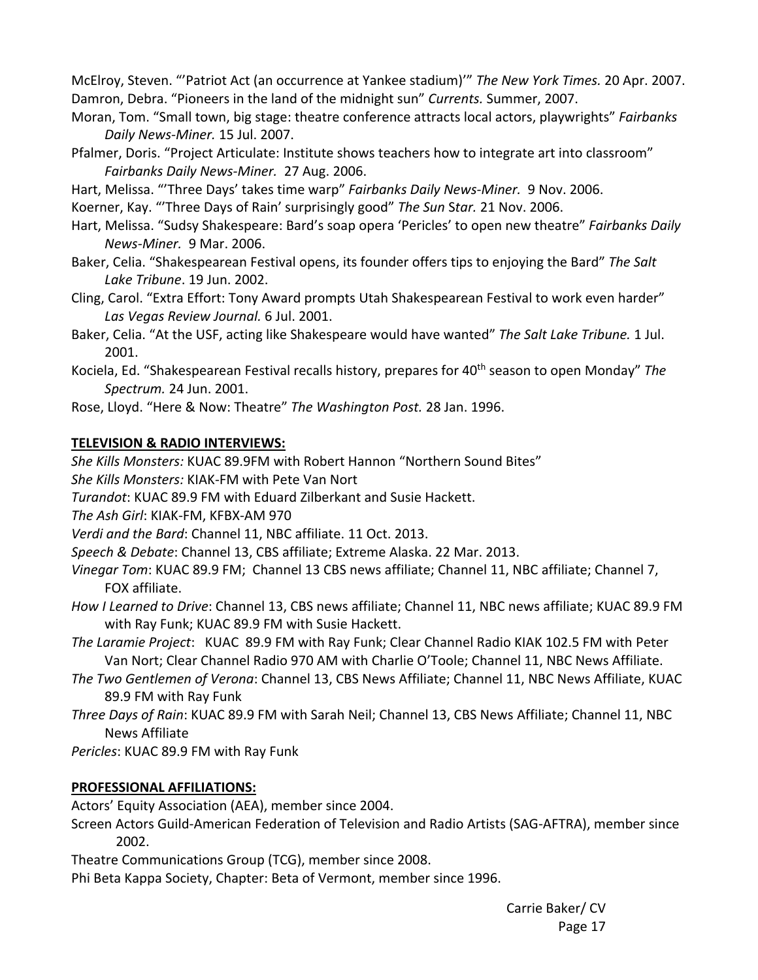McElroy, Steven. "'Patriot Act (an occurrence at Yankee stadium)'" *The New York Times.* 20 Apr. 2007. Damron, Debra. "Pioneers in the land of the midnight sun" *Currents.* Summer, 2007.

- Moran, Tom. "Small town, big stage: theatre conference attracts local actors, playwrights" *Fairbanks Daily News‐Miner.* 15 Jul. 2007.
- Pfalmer, Doris. "Project Articulate: Institute shows teachers how to integrate art into classroom" *Fairbanks Daily News‐Miner.* 27 Aug. 2006.
- Hart, Melissa. "'Three Days' takes time warp" *Fairbanks Daily News‐Miner.* 9 Nov. 2006.

Koerner, Kay. "'Three Days of Rain' surprisingly good" *The Sun* S*tar.* 21 Nov. 2006.

- Hart, Melissa. "Sudsy Shakespeare: Bard's soap opera 'Pericles' to open new theatre" *Fairbanks Daily News‐Miner.* 9 Mar. 2006.
- Baker, Celia. "Shakespearean Festival opens, its founder offers tips to enjoying the Bard" *The Salt Lake Tribune*. 19 Jun. 2002.
- Cling, Carol. "Extra Effort: Tony Award prompts Utah Shakespearean Festival to work even harder" *Las Vegas Review Journal.* 6 Jul. 2001.
- Baker, Celia. "At the USF, acting like Shakespeare would have wanted" *The Salt Lake Tribune.* 1 Jul. 2001.
- Kociela, Ed. "Shakespearean Festival recalls history, prepares for 40th season to open Monday" *The Spectrum.* 24 Jun. 2001.
- Rose, Lloyd. "Here & Now: Theatre" *The Washington Post.* 28 Jan. 1996.

## **TELEVISION & RADIO INTERVIEWS:**

*She Kills Monsters:* KUAC 89.9FM with Robert Hannon "Northern Sound Bites"

*She Kills Monsters:* KIAK‐FM with Pete Van Nort

*Turandot*: KUAC 89.9 FM with Eduard Zilberkant and Susie Hackett.

*The Ash Girl*: KIAK‐FM, KFBX‐AM 970

*Verdi and the Bard*: Channel 11, NBC affiliate. 11 Oct. 2013.

*Speech & Debate*: Channel 13, CBS affiliate; Extreme Alaska. 22 Mar. 2013.

- *Vinegar Tom*: KUAC 89.9 FM; Channel 13 CBS news affiliate; Channel 11, NBC affiliate; Channel 7, FOX affiliate.
- *How I Learned to Drive*: Channel 13, CBS news affiliate; Channel 11, NBC news affiliate; KUAC 89.9 FM with Ray Funk; KUAC 89.9 FM with Susie Hackett.

*The Laramie Project*: KUAC 89.9 FM with Ray Funk; Clear Channel Radio KIAK 102.5 FM with Peter Van Nort; Clear Channel Radio 970 AM with Charlie O'Toole; Channel 11, NBC News Affiliate.

- *The Two Gentlemen of Verona*: Channel 13, CBS News Affiliate; Channel 11, NBC News Affiliate, KUAC 89.9 FM with Ray Funk
- *Three Days of Rain*: KUAC 89.9 FM with Sarah Neil; Channel 13, CBS News Affiliate; Channel 11, NBC News Affiliate

*Pericles*: KUAC 89.9 FM with Ray Funk

## **PROFESSIONAL AFFILIATIONS:**

Actors' Equity Association (AEA), member since 2004.

Screen Actors Guild‐American Federation of Television and Radio Artists (SAG‐AFTRA), member since 2002.

Theatre Communications Group (TCG), member since 2008.

Phi Beta Kappa Society, Chapter: Beta of Vermont, member since 1996.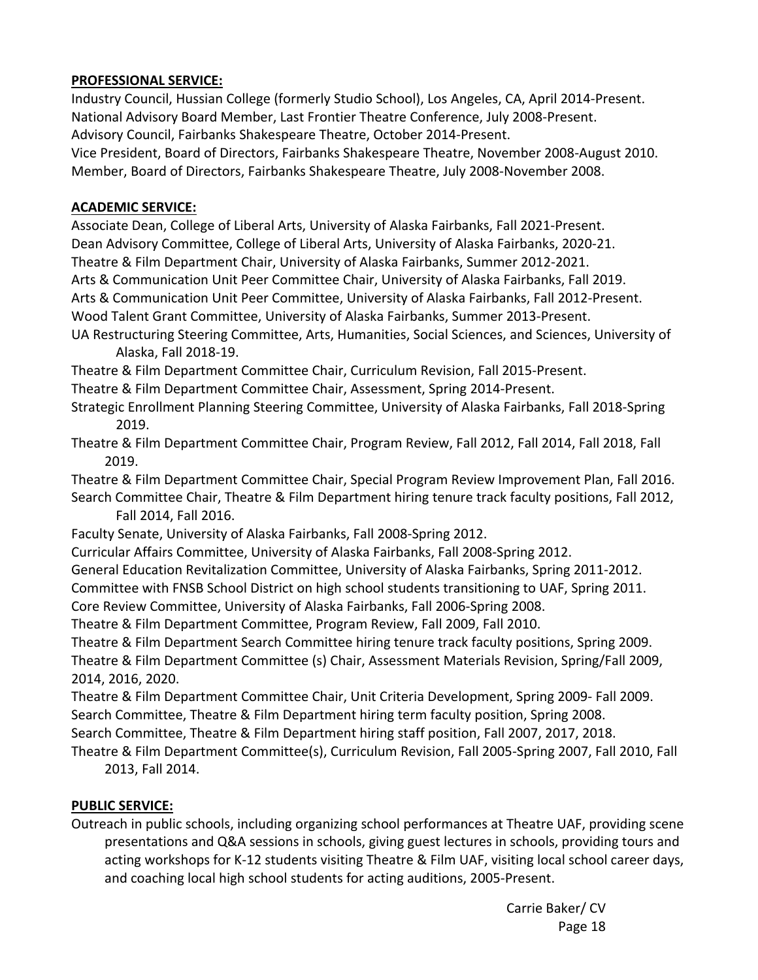#### **PROFESSIONAL SERVICE:**

Industry Council, Hussian College (formerly Studio School), Los Angeles, CA, April 2014‐Present. National Advisory Board Member, Last Frontier Theatre Conference, July 2008‐Present. Advisory Council, Fairbanks Shakespeare Theatre, October 2014‐Present. Vice President, Board of Directors, Fairbanks Shakespeare Theatre, November 2008‐August 2010. Member, Board of Directors, Fairbanks Shakespeare Theatre, July 2008‐November 2008.

#### **ACADEMIC SERVICE:**

Associate Dean, College of Liberal Arts, University of Alaska Fairbanks, Fall 2021‐Present. Dean Advisory Committee, College of Liberal Arts, University of Alaska Fairbanks, 2020‐21. Theatre & Film Department Chair, University of Alaska Fairbanks, Summer 2012‐2021. Arts & Communication Unit Peer Committee Chair, University of Alaska Fairbanks, Fall 2019. Arts & Communication Unit Peer Committee, University of Alaska Fairbanks, Fall 2012‐Present.

Wood Talent Grant Committee, University of Alaska Fairbanks, Summer 2013‐Present.

UA Restructuring Steering Committee, Arts, Humanities, Social Sciences, and Sciences, University of Alaska, Fall 2018‐19.

Theatre & Film Department Committee Chair, Curriculum Revision, Fall 2015‐Present.

Theatre & Film Department Committee Chair, Assessment, Spring 2014‐Present.

Strategic Enrollment Planning Steering Committee, University of Alaska Fairbanks, Fall 2018‐Spring 2019.

Theatre & Film Department Committee Chair, Program Review, Fall 2012, Fall 2014, Fall 2018, Fall 2019.

Theatre & Film Department Committee Chair, Special Program Review Improvement Plan, Fall 2016. Search Committee Chair, Theatre & Film Department hiring tenure track faculty positions, Fall 2012,

Fall 2014, Fall 2016.

Faculty Senate, University of Alaska Fairbanks, Fall 2008‐Spring 2012.

Curricular Affairs Committee, University of Alaska Fairbanks, Fall 2008‐Spring 2012.

General Education Revitalization Committee, University of Alaska Fairbanks, Spring 2011‐2012.

Committee with FNSB School District on high school students transitioning to UAF, Spring 2011.

Core Review Committee, University of Alaska Fairbanks, Fall 2006‐Spring 2008.

Theatre & Film Department Committee, Program Review, Fall 2009, Fall 2010.

Theatre & Film Department Search Committee hiring tenure track faculty positions, Spring 2009.

Theatre & Film Department Committee (s) Chair, Assessment Materials Revision, Spring/Fall 2009, 2014, 2016, 2020.

Theatre & Film Department Committee Chair, Unit Criteria Development, Spring 2009‐ Fall 2009. Search Committee, Theatre & Film Department hiring term faculty position, Spring 2008.

Search Committee, Theatre & Film Department hiring staff position, Fall 2007, 2017, 2018.

Theatre & Film Department Committee(s), Curriculum Revision, Fall 2005‐Spring 2007, Fall 2010, Fall 2013, Fall 2014.

## **PUBLIC SERVICE:**

Outreach in public schools, including organizing school performances at Theatre UAF, providing scene presentations and Q&A sessions in schools, giving guest lectures in schools, providing tours and acting workshops for K‐12 students visiting Theatre & Film UAF, visiting local school career days, and coaching local high school students for acting auditions, 2005‐Present.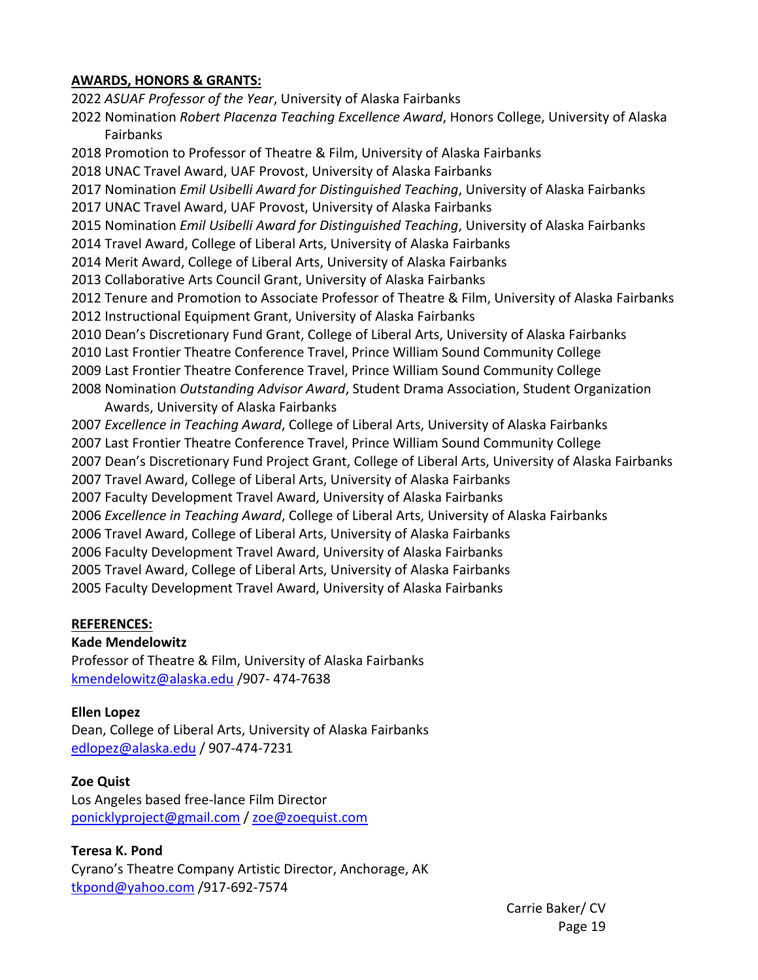#### **AWARDS, HONORS & GRANTS:**

2022 *ASUAF Professor of the Year*, University of Alaska Fairbanks 2022 Nomination *Robert PIacenza Teaching Excellence Award*, Honors College, University of Alaska Fairbanks 2018 Promotion to Professor of Theatre & Film, University of Alaska Fairbanks 2018 UNAC Travel Award, UAF Provost, University of Alaska Fairbanks 2017 Nomination *Emil Usibelli Award for Distinguished Teaching*, University of Alaska Fairbanks 2017 UNAC Travel Award, UAF Provost, University of Alaska Fairbanks 2015 Nomination *Emil Usibelli Award for Distinguished Teaching*, University of Alaska Fairbanks 2014 Travel Award, College of Liberal Arts, University of Alaska Fairbanks 2014 Merit Award, College of Liberal Arts, University of Alaska Fairbanks 2013 Collaborative Arts Council Grant, University of Alaska Fairbanks 2012 Tenure and Promotion to Associate Professor of Theatre & Film, University of Alaska Fairbanks 2012 Instructional Equipment Grant, University of Alaska Fairbanks 2010 Dean's Discretionary Fund Grant, College of Liberal Arts, University of Alaska Fairbanks 2010 Last Frontier Theatre Conference Travel, Prince William Sound Community College 2009 Last Frontier Theatre Conference Travel, Prince William Sound Community College 2008 Nomination *Outstanding Advisor Award*, Student Drama Association, Student Organization Awards, University of Alaska Fairbanks 2007 *Excellence in Teaching Award*, College of Liberal Arts, University of Alaska Fairbanks 2007 Last Frontier Theatre Conference Travel, Prince William Sound Community College 2007 Dean's Discretionary Fund Project Grant, College of Liberal Arts, University of Alaska Fairbanks 2007 Travel Award, College of Liberal Arts, University of Alaska Fairbanks 2007 Faculty Development Travel Award, University of Alaska Fairbanks 2006 *Excellence in Teaching Award*, College of Liberal Arts, University of Alaska Fairbanks 2006 Travel Award, College of Liberal Arts, University of Alaska Fairbanks 2006 Faculty Development Travel Award, University of Alaska Fairbanks 2005 Travel Award, College of Liberal Arts, University of Alaska Fairbanks

2005 Faculty Development Travel Award, University of Alaska Fairbanks

#### **REFERENCES:**

#### **Kade Mendelowitz**

Professor of Theatre & Film, University of Alaska Fairbanks kmendelowitz@alaska.edu /907‐ 474‐7638

#### **Ellen Lopez**

Dean, College of Liberal Arts, University of Alaska Fairbanks edlopez@alaska.edu / 907‐474‐7231

#### **Zoe Quist**

Los Angeles based free‐lance Film Director ponicklyproject@gmail.com / zoe@zoequist.com

## **Teresa K. Pond**

Cyrano's Theatre Company Artistic Director, Anchorage, AK tkpond@yahoo.com /917‐692‐7574